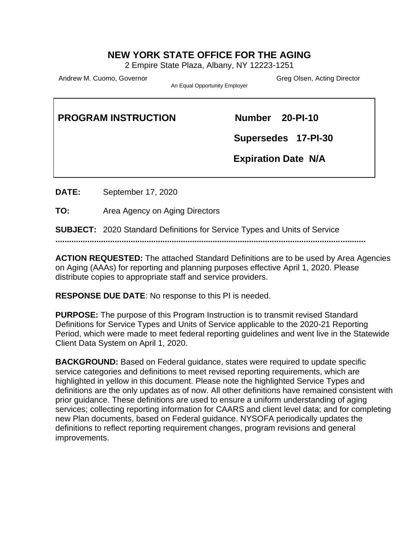#### **NEW YORK STATE OFFICE FOR THE AGING**

2 Empire State Plaza, Albany, NY 12223-1251

Andrew M. Cuomo, Governor Carrier Communication Creative Creation Creation Creation Creation Creation Creation

An Equal Opportunity Employer

| <b>PROGRAM INSTRUCTION</b> | Number 20-PI-10            |
|----------------------------|----------------------------|
|                            | Supersedes 17-PI-30        |
|                            | <b>Expiration Date N/A</b> |
|                            |                            |

**DATE:** September 17, 2020

**TO:** Area Agency on Aging Directors

**SUBJECT:** 2020 Standard Definitions for Service Types and Units of Service

**........................................................................................................................................**

**ACTION REQUESTED:** The attached Standard Definitions are to be used by Area Agencies on Aging (AAAs) for reporting and planning purposes effective April 1, 2020. Please distribute copies to appropriate staff and service providers.

**RESPONSE DUE DATE**: No response to this PI is needed.

**PURPOSE:** The purpose of this Program Instruction is to transmit revised Standard Definitions for Service Types and Units of Service applicable to the 2020-21 Reporting Period, which were made to meet federal reporting guidelines and went live in the Statewide Client Data System on April 1, 2020.

**BACKGROUND:** Based on Federal guidance, states were required to update specific service categories and definitions to meet revised reporting requirements, which are highlighted in yellow in this document. Please note the highlighted Service Types and definitions are the only updates as of now. All other definitions have remained consistent with prior guidance. These definitions are used to ensure a uniform understanding of aging services; collecting reporting information for CAARS and client level data; and for completing new Plan documents, based on Federal guidance. NYSOFA periodically updates the definitions to reflect reporting requirement changes, program revisions and general improvements.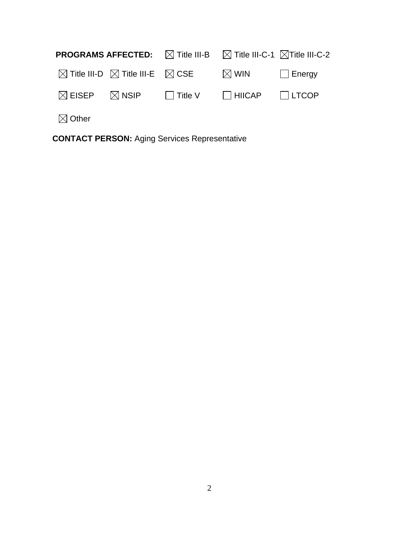| <b>PROGRAMS AFFECTED:</b> $\boxtimes$ Title III-B $\boxtimes$ Title III-C-1 $\boxtimes$ Title III-C-2 |  |                                                                                               |  |
|-------------------------------------------------------------------------------------------------------|--|-----------------------------------------------------------------------------------------------|--|
|                                                                                                       |  | $\boxtimes$ Title III-D $\boxtimes$ Title III-E $\boxtimes$ CSE $\boxtimes$ WIN $\Box$ Energy |  |
|                                                                                                       |  | $\boxtimes$ EISEP $\boxtimes$ NSIP $\Box$ Title V $\Box$ HIICAP $\Box$ LTCOP                  |  |
| $\boxtimes$ Other                                                                                     |  |                                                                                               |  |

**CONTACT PERSON:** Aging Services Representative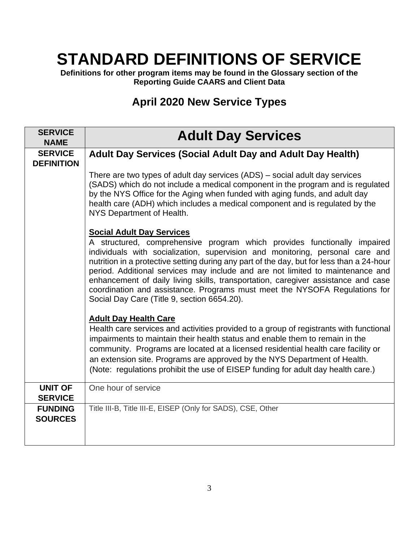# **STANDARD DEFINITIONS OF SERVICE**

**Definitions for other program items may be found in the Glossary section of the Reporting Guide CAARS and Client Data** 

## **April 2020 New Service Types**

| <b>SERVICE</b><br><b>NAME</b>       | <b>Adult Day Services</b>                                                                                                                                                                                                                                                                                                                                                                                                                                                                                                                                                                      |
|-------------------------------------|------------------------------------------------------------------------------------------------------------------------------------------------------------------------------------------------------------------------------------------------------------------------------------------------------------------------------------------------------------------------------------------------------------------------------------------------------------------------------------------------------------------------------------------------------------------------------------------------|
| <b>SERVICE</b><br><b>DEFINITION</b> | <b>Adult Day Services (Social Adult Day and Adult Day Health)</b>                                                                                                                                                                                                                                                                                                                                                                                                                                                                                                                              |
|                                     | There are two types of adult day services (ADS) – social adult day services<br>(SADS) which do not include a medical component in the program and is regulated<br>by the NYS Office for the Aging when funded with aging funds, and adult day<br>health care (ADH) which includes a medical component and is regulated by the<br>NYS Department of Health.                                                                                                                                                                                                                                     |
|                                     | <b>Social Adult Day Services</b><br>A structured, comprehensive program which provides functionally impaired<br>individuals with socialization, supervision and monitoring, personal care and<br>nutrition in a protective setting during any part of the day, but for less than a 24-hour<br>period. Additional services may include and are not limited to maintenance and<br>enhancement of daily living skills, transportation, caregiver assistance and case<br>coordination and assistance. Programs must meet the NYSOFA Regulations for<br>Social Day Care (Title 9, section 6654.20). |
|                                     | <b>Adult Day Health Care</b><br>Health care services and activities provided to a group of registrants with functional<br>impairments to maintain their health status and enable them to remain in the<br>community. Programs are located at a licensed residential health care facility or<br>an extension site. Programs are approved by the NYS Department of Health.<br>(Note: regulations prohibit the use of EISEP funding for adult day health care.)                                                                                                                                   |
| <b>UNIT OF</b><br><b>SERVICE</b>    | One hour of service                                                                                                                                                                                                                                                                                                                                                                                                                                                                                                                                                                            |
| <b>FUNDING</b><br><b>SOURCES</b>    | Title III-B, Title III-E, EISEP (Only for SADS), CSE, Other                                                                                                                                                                                                                                                                                                                                                                                                                                                                                                                                    |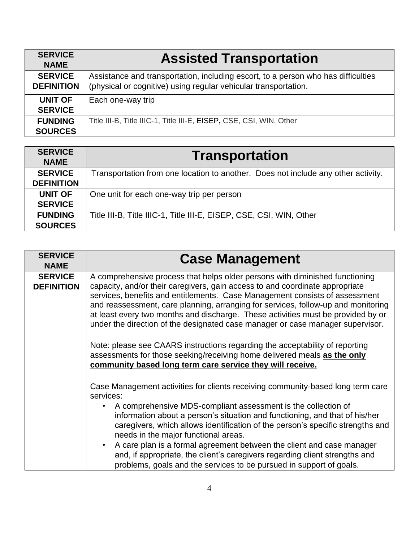| <b>SERVICE</b><br><b>NAME</b>       | <b>Assisted Transportation</b>                                                                                                                       |
|-------------------------------------|------------------------------------------------------------------------------------------------------------------------------------------------------|
| <b>SERVICE</b><br><b>DEFINITION</b> | Assistance and transportation, including escort, to a person who has difficulties<br>(physical or cognitive) using regular vehicular transportation. |
| <b>UNIT OF</b><br><b>SERVICE</b>    | Each one-way trip                                                                                                                                    |
| <b>FUNDING</b><br><b>SOURCES</b>    | Title III-B, Title IIIC-1, Title III-E, EISEP, CSE, CSI, WIN, Other                                                                                  |

| <b>SERVICE</b><br><b>NAME</b> | <b>Transportation</b>                                                             |
|-------------------------------|-----------------------------------------------------------------------------------|
| <b>SERVICE</b>                | Transportation from one location to another. Does not include any other activity. |
| <b>DEFINITION</b>             |                                                                                   |
| <b>UNIT OF</b>                | One unit for each one-way trip per person                                         |
| <b>SERVICE</b>                |                                                                                   |
| <b>FUNDING</b>                | Title III-B, Title IIIC-1, Title III-E, EISEP, CSE, CSI, WIN, Other               |
| <b>SOURCES</b>                |                                                                                   |

| <b>SERVICE</b><br><b>NAME</b>       | <b>Case Management</b>                                                                                                                                                                                                                                                                                                                                                                                                                                                                                                                                                                                |
|-------------------------------------|-------------------------------------------------------------------------------------------------------------------------------------------------------------------------------------------------------------------------------------------------------------------------------------------------------------------------------------------------------------------------------------------------------------------------------------------------------------------------------------------------------------------------------------------------------------------------------------------------------|
| <b>SERVICE</b><br><b>DEFINITION</b> | A comprehensive process that helps older persons with diminished functioning<br>capacity, and/or their caregivers, gain access to and coordinate appropriate<br>services, benefits and entitlements. Case Management consists of assessment<br>and reassessment, care planning, arranging for services, follow-up and monitoring<br>at least every two months and discharge. These activities must be provided by or<br>under the direction of the designated case manager or case manager supervisor.                                                                                                |
|                                     | Note: please see CAARS instructions regarding the acceptability of reporting<br>assessments for those seeking/receiving home delivered meals as the only<br>community based long term care service they will receive.                                                                                                                                                                                                                                                                                                                                                                                 |
|                                     | Case Management activities for clients receiving community-based long term care<br>services:<br>A comprehensive MDS-compliant assessment is the collection of<br>information about a person's situation and functioning, and that of his/her<br>caregivers, which allows identification of the person's specific strengths and<br>needs in the major functional areas.<br>A care plan is a formal agreement between the client and case manager<br>and, if appropriate, the client's caregivers regarding client strengths and<br>problems, goals and the services to be pursued in support of goals. |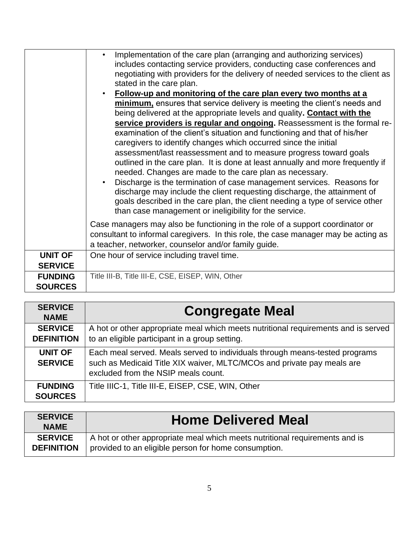|                                  | Implementation of the care plan (arranging and authorizing services)<br>includes contacting service providers, conducting case conferences and<br>negotiating with providers for the delivery of needed services to the client as<br>stated in the care plan.                                                                                          |
|----------------------------------|--------------------------------------------------------------------------------------------------------------------------------------------------------------------------------------------------------------------------------------------------------------------------------------------------------------------------------------------------------|
|                                  | Follow-up and monitoring of the care plan every two months at a                                                                                                                                                                                                                                                                                        |
|                                  | minimum, ensures that service delivery is meeting the client's needs and                                                                                                                                                                                                                                                                               |
|                                  | being delivered at the appropriate levels and quality. Contact with the                                                                                                                                                                                                                                                                                |
|                                  | service providers is regular and ongoing. Reassessment is the formal re-                                                                                                                                                                                                                                                                               |
|                                  | examination of the client's situation and functioning and that of his/her                                                                                                                                                                                                                                                                              |
|                                  | caregivers to identify changes which occurred since the initial                                                                                                                                                                                                                                                                                        |
|                                  | assessment/last reassessment and to measure progress toward goals                                                                                                                                                                                                                                                                                      |
|                                  | outlined in the care plan. It is done at least annually and more frequently if                                                                                                                                                                                                                                                                         |
|                                  | needed. Changes are made to the care plan as necessary.<br>Discharge is the termination of case management services. Reasons for<br>discharge may include the client requesting discharge, the attainment of<br>goals described in the care plan, the client needing a type of service other<br>than case management or ineligibility for the service. |
|                                  | Case managers may also be functioning in the role of a support coordinator or<br>consultant to informal caregivers. In this role, the case manager may be acting as<br>a teacher, networker, counselor and/or family guide.                                                                                                                            |
| <b>UNIT OF</b><br><b>SERVICE</b> | One hour of service including travel time.                                                                                                                                                                                                                                                                                                             |
| <b>FUNDING</b><br><b>SOURCES</b> | Title III-B, Title III-E, CSE, EISEP, WIN, Other                                                                                                                                                                                                                                                                                                       |

| <b>SERVICE</b><br><b>NAME</b>       | <b>Congregate Meal</b>                                                                                                                                                                       |
|-------------------------------------|----------------------------------------------------------------------------------------------------------------------------------------------------------------------------------------------|
| <b>SERVICE</b><br><b>DEFINITION</b> | A hot or other appropriate meal which meets nutritional requirements and is served<br>to an eligible participant in a group setting.                                                         |
| <b>UNIT OF</b><br><b>SERVICE</b>    | Each meal served. Meals served to individuals through means-tested programs<br>such as Medicaid Title XIX waiver, MLTC/MCOs and private pay meals are<br>excluded from the NSIP meals count. |
| <b>FUNDING</b><br><b>SOURCES</b>    | Title IIIC-1, Title III-E, EISEP, CSE, WIN, Other                                                                                                                                            |

| <b>SERVICE</b><br><b>NAME</b> | <b>Home Delivered Meal</b>                                                  |
|-------------------------------|-----------------------------------------------------------------------------|
| <b>SERVICE</b>                | A hot or other appropriate meal which meets nutritional requirements and is |
| <b>DEFINITION</b>             | provided to an eligible person for home consumption.                        |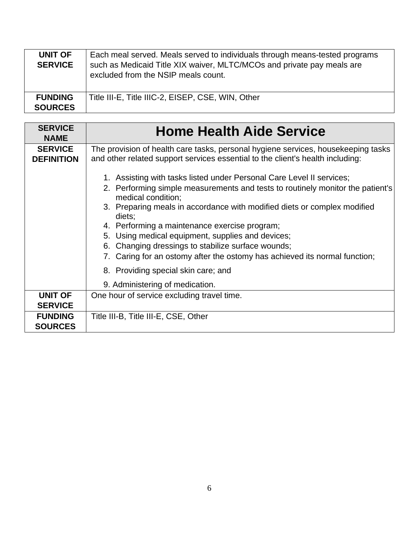| UNIT OF<br><b>SERVICE</b>        | Each meal served. Meals served to individuals through means-tested programs<br>such as Medicaid Title XIX waiver, MLTC/MCOs and private pay meals are<br>excluded from the NSIP meals count. |
|----------------------------------|----------------------------------------------------------------------------------------------------------------------------------------------------------------------------------------------|
| <b>FUNDING</b><br><b>SOURCES</b> | Title III-E, Title IIIC-2, EISEP, CSE, WIN, Other                                                                                                                                            |

| <b>SERVICE</b><br><b>NAME</b>       | <b>Home Health Aide Service</b>                                                                                                                                                                                                                                                                                                                                                                                                                                                                               |
|-------------------------------------|---------------------------------------------------------------------------------------------------------------------------------------------------------------------------------------------------------------------------------------------------------------------------------------------------------------------------------------------------------------------------------------------------------------------------------------------------------------------------------------------------------------|
| <b>SERVICE</b><br><b>DEFINITION</b> | The provision of health care tasks, personal hygiene services, housekeeping tasks<br>and other related support services essential to the client's health including:                                                                                                                                                                                                                                                                                                                                           |
|                                     | 1. Assisting with tasks listed under Personal Care Level II services;<br>2. Performing simple measurements and tests to routinely monitor the patient's<br>medical condition;<br>3. Preparing meals in accordance with modified diets or complex modified<br>diets;<br>4. Performing a maintenance exercise program;<br>5. Using medical equipment, supplies and devices;<br>6. Changing dressings to stabilize surface wounds;<br>7. Caring for an ostomy after the ostomy has achieved its normal function; |
|                                     | 8. Providing special skin care; and<br>9. Administering of medication.                                                                                                                                                                                                                                                                                                                                                                                                                                        |
| <b>UNIT OF</b><br><b>SERVICE</b>    | One hour of service excluding travel time.                                                                                                                                                                                                                                                                                                                                                                                                                                                                    |
| <b>FUNDING</b><br><b>SOURCES</b>    | Title III-B, Title III-E, CSE, Other                                                                                                                                                                                                                                                                                                                                                                                                                                                                          |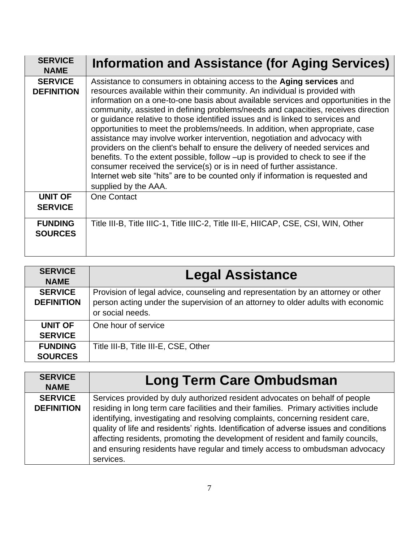| <b>SERVICE</b><br><b>NAME</b>       | Information and Assistance (for Aging Services)                                                                                                                                                                                                                                                                                                                                                                                                                                                                                                                                                                                                                                                                                                                                                                                                                                                                                         |
|-------------------------------------|-----------------------------------------------------------------------------------------------------------------------------------------------------------------------------------------------------------------------------------------------------------------------------------------------------------------------------------------------------------------------------------------------------------------------------------------------------------------------------------------------------------------------------------------------------------------------------------------------------------------------------------------------------------------------------------------------------------------------------------------------------------------------------------------------------------------------------------------------------------------------------------------------------------------------------------------|
| <b>SERVICE</b><br><b>DEFINITION</b> | Assistance to consumers in obtaining access to the Aging services and<br>resources available within their community. An individual is provided with<br>information on a one-to-one basis about available services and opportunities in the<br>community, assisted in defining problems/needs and capacities, receives direction<br>or guidance relative to those identified issues and is linked to services and<br>opportunities to meet the problems/needs. In addition, when appropriate, case<br>assistance may involve worker intervention, negotiation and advocacy with<br>providers on the client's behalf to ensure the delivery of needed services and<br>benefits. To the extent possible, follow -up is provided to check to see if the<br>consumer received the service(s) or is in need of further assistance.<br>Internet web site "hits" are to be counted only if information is requested and<br>supplied by the AAA. |
| <b>UNIT OF</b><br><b>SERVICE</b>    | <b>One Contact</b>                                                                                                                                                                                                                                                                                                                                                                                                                                                                                                                                                                                                                                                                                                                                                                                                                                                                                                                      |
| <b>FUNDING</b><br><b>SOURCES</b>    | Title III-B, Title IIIC-1, Title IIIC-2, Title III-E, HIICAP, CSE, CSI, WIN, Other                                                                                                                                                                                                                                                                                                                                                                                                                                                                                                                                                                                                                                                                                                                                                                                                                                                      |

| <b>SERVICE</b><br><b>NAME</b>       | <b>Legal Assistance</b>                                                                                                                                                                  |
|-------------------------------------|------------------------------------------------------------------------------------------------------------------------------------------------------------------------------------------|
| <b>SERVICE</b><br><b>DEFINITION</b> | Provision of legal advice, counseling and representation by an attorney or other<br>person acting under the supervision of an attorney to older adults with economic<br>or social needs. |
| UNIT OF<br><b>SERVICE</b>           | One hour of service                                                                                                                                                                      |
| <b>FUNDING</b><br><b>SOURCES</b>    | Title III-B, Title III-E, CSE, Other                                                                                                                                                     |

| <b>SERVICE</b><br><b>NAME</b>       | <b>Long Term Care Ombudsman</b>                                                                                                                                                                                                                                                                                                                                                                                                                                                                                                |
|-------------------------------------|--------------------------------------------------------------------------------------------------------------------------------------------------------------------------------------------------------------------------------------------------------------------------------------------------------------------------------------------------------------------------------------------------------------------------------------------------------------------------------------------------------------------------------|
| <b>SERVICE</b><br><b>DEFINITION</b> | Services provided by duly authorized resident advocates on behalf of people<br>residing in long term care facilities and their families. Primary activities include<br>identifying, investigating and resolving complaints, concerning resident care,<br>quality of life and residents' rights. Identification of adverse issues and conditions<br>affecting residents, promoting the development of resident and family councils,<br>and ensuring residents have regular and timely access to ombudsman advocacy<br>services. |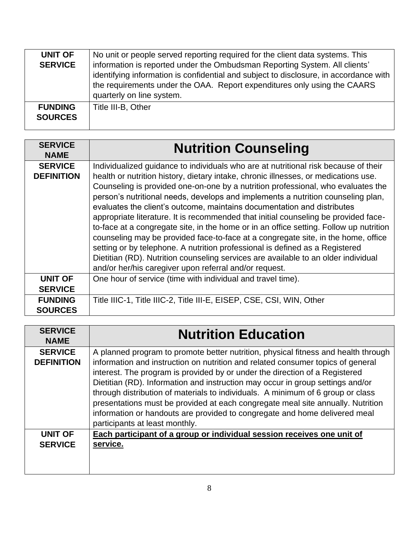| <b>UNIT OF</b><br><b>SERVICE</b> | No unit or people served reporting required for the client data systems. This<br>information is reported under the Ombudsman Reporting System. All clients'<br>identifying information is confidential and subject to disclosure, in accordance with<br>the requirements under the OAA. Report expenditures only using the CAARS<br>quarterly on line system. |
|----------------------------------|---------------------------------------------------------------------------------------------------------------------------------------------------------------------------------------------------------------------------------------------------------------------------------------------------------------------------------------------------------------|
| <b>FUNDING</b><br><b>SOURCES</b> | Title III-B, Other                                                                                                                                                                                                                                                                                                                                            |

| <b>SERVICE</b><br><b>NAME</b>       | <b>Nutrition Counseling</b>                                                                                                                                                                                                                                                                                                                                                                                                                                                                                                                                                                                                                                                                                                                                                                                                                                                                                                         |
|-------------------------------------|-------------------------------------------------------------------------------------------------------------------------------------------------------------------------------------------------------------------------------------------------------------------------------------------------------------------------------------------------------------------------------------------------------------------------------------------------------------------------------------------------------------------------------------------------------------------------------------------------------------------------------------------------------------------------------------------------------------------------------------------------------------------------------------------------------------------------------------------------------------------------------------------------------------------------------------|
| <b>SERVICE</b><br><b>DEFINITION</b> | Individualized guidance to individuals who are at nutritional risk because of their<br>health or nutrition history, dietary intake, chronic illnesses, or medications use.<br>Counseling is provided one-on-one by a nutrition professional, who evaluates the<br>person's nutritional needs, develops and implements a nutrition counseling plan,<br>evaluates the client's outcome, maintains documentation and distributes<br>appropriate literature. It is recommended that initial counseling be provided face-<br>to-face at a congregate site, in the home or in an office setting. Follow up nutrition<br>counseling may be provided face-to-face at a congregate site, in the home, office<br>setting or by telephone. A nutrition professional is defined as a Registered<br>Dietitian (RD). Nutrition counseling services are available to an older individual<br>and/or her/his caregiver upon referral and/or request. |
| <b>UNIT OF</b><br><b>SERVICE</b>    | One hour of service (time with individual and travel time).                                                                                                                                                                                                                                                                                                                                                                                                                                                                                                                                                                                                                                                                                                                                                                                                                                                                         |
| <b>FUNDING</b><br><b>SOURCES</b>    | Title IIIC-1, Title IIIC-2, Title III-E, EISEP, CSE, CSI, WIN, Other                                                                                                                                                                                                                                                                                                                                                                                                                                                                                                                                                                                                                                                                                                                                                                                                                                                                |

| <b>SERVICE</b><br><b>NAME</b>       | <b>Nutrition Education</b>                                                                                                                                                                                                                                                                                                                                                                                                                                                                                                                                                                                                   |
|-------------------------------------|------------------------------------------------------------------------------------------------------------------------------------------------------------------------------------------------------------------------------------------------------------------------------------------------------------------------------------------------------------------------------------------------------------------------------------------------------------------------------------------------------------------------------------------------------------------------------------------------------------------------------|
| <b>SERVICE</b><br><b>DEFINITION</b> | A planned program to promote better nutrition, physical fitness and health through<br>information and instruction on nutrition and related consumer topics of general<br>interest. The program is provided by or under the direction of a Registered<br>Dietitian (RD). Information and instruction may occur in group settings and/or<br>through distribution of materials to individuals. A minimum of 6 group or class<br>presentations must be provided at each congregate meal site annually. Nutrition<br>information or handouts are provided to congregate and home delivered meal<br>participants at least monthly. |
| <b>UNIT OF</b><br><b>SERVICE</b>    | Each participant of a group or individual session receives one unit of<br>service.                                                                                                                                                                                                                                                                                                                                                                                                                                                                                                                                           |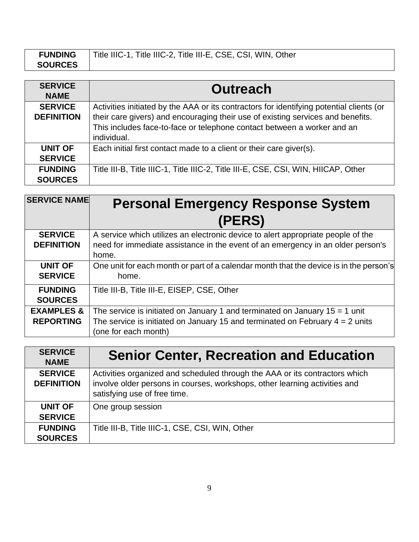| <b>FUNDING</b> | Title IIIC-1, Title IIIC-2, Title III-E, CSE, CSI, WIN, Other |
|----------------|---------------------------------------------------------------|
| <b>SOURCES</b> |                                                               |

| <b>SERVICE</b><br><b>NAME</b>       | <b>Outreach</b>                                                                                                                                                                                                                                                       |
|-------------------------------------|-----------------------------------------------------------------------------------------------------------------------------------------------------------------------------------------------------------------------------------------------------------------------|
| <b>SERVICE</b><br><b>DEFINITION</b> | Activities initiated by the AAA or its contractors for identifying potential clients (or<br>their care givers) and encouraging their use of existing services and benefits.<br>This includes face-to-face or telephone contact between a worker and an<br>individual. |
| <b>UNIT OF</b><br><b>SERVICE</b>    | Each initial first contact made to a client or their care giver(s).                                                                                                                                                                                                   |
| <b>FUNDING</b><br><b>SOURCES</b>    | Title III-B, Title IIIC-1, Title IIIC-2, Title III-E, CSE, CSI, WIN, HIICAP, Other                                                                                                                                                                                    |

| <b>SERVICE NAME</b>                       | <b>Personal Emergency Response System</b>                                                                                                                                                |
|-------------------------------------------|------------------------------------------------------------------------------------------------------------------------------------------------------------------------------------------|
|                                           | (PERS)                                                                                                                                                                                   |
| <b>SERVICE</b><br><b>DEFINITION</b>       | A service which utilizes an electronic device to alert appropriate people of the<br>need for immediate assistance in the event of an emergency in an older person's<br>home.             |
| <b>UNIT OF</b><br><b>SERVICE</b>          | One unit for each month or part of a calendar month that the device is in the person's<br>home.                                                                                          |
| <b>FUNDING</b><br><b>SOURCES</b>          | Title III-B, Title III-E, EISEP, CSE, Other                                                                                                                                              |
| <b>EXAMPLES &amp;</b><br><b>REPORTING</b> | The service is initiated on January 1 and terminated on January $15 = 1$ unit<br>The service is initiated on January 15 and terminated on February $4 = 2$ units<br>(one for each month) |

| <b>SERVICE</b><br><b>NAME</b>       | <b>Senior Center, Recreation and Education</b>                                                                                                                                            |
|-------------------------------------|-------------------------------------------------------------------------------------------------------------------------------------------------------------------------------------------|
| <b>SERVICE</b><br><b>DEFINITION</b> | Activities organized and scheduled through the AAA or its contractors which<br>involve older persons in courses, workshops, other learning activities and<br>satisfying use of free time. |
| <b>UNIT OF</b><br><b>SERVICE</b>    | One group session                                                                                                                                                                         |
| <b>FUNDING</b><br><b>SOURCES</b>    | Title III-B, Title IIIC-1, CSE, CSI, WIN, Other                                                                                                                                           |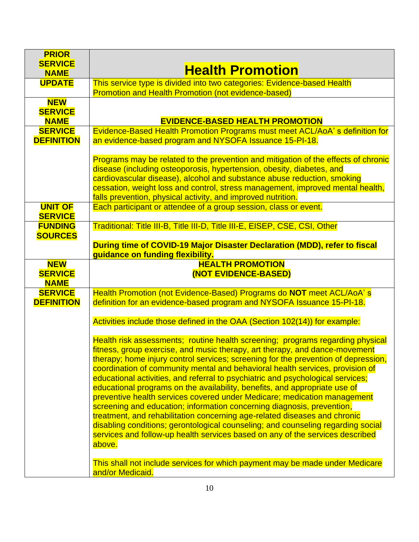| <b>PRIOR</b>                  |                                                                                                                                                                  |
|-------------------------------|------------------------------------------------------------------------------------------------------------------------------------------------------------------|
| <b>SERVICE</b><br><b>NAME</b> | <b>Health Promotion</b>                                                                                                                                          |
| <b>UPDATE</b>                 | This service type is divided into two categories: Evidence-based Health                                                                                          |
|                               | <b>Promotion and Health Promotion (not evidence-based)</b>                                                                                                       |
| <b>NEW</b><br><b>SERVICE</b>  |                                                                                                                                                                  |
| <b>NAME</b>                   | <b>EVIDENCE-BASED HEALTH PROMOTION</b>                                                                                                                           |
| <b>SERVICE</b>                | Evidence-Based Health Promotion Programs must meet ACL/AoA's definition for                                                                                      |
| <b>DEFINITION</b>             | an evidence-based program and NYSOFA Issuance 15-PI-18.                                                                                                          |
|                               |                                                                                                                                                                  |
|                               | Programs may be related to the prevention and mitigation of the effects of chronic                                                                               |
|                               | disease (including osteoporosis, hypertension, obesity, diabetes, and<br>cardiovascular disease), alcohol and substance abuse reduction, smoking                 |
|                               | cessation, weight loss and control, stress management, improved mental health,                                                                                   |
|                               | falls prevention, physical activity, and improved nutrition.                                                                                                     |
| <b>UNIT OF</b>                | Each participant or attendee of a group session, class or event.                                                                                                 |
| <b>SERVICE</b>                |                                                                                                                                                                  |
| <b>FUNDING</b>                | Traditional: Title III-B, Title III-D, Title III-E, EISEP, CSE, CSI, Other                                                                                       |
| <b>SOURCES</b>                |                                                                                                                                                                  |
|                               | During time of COVID-19 Major Disaster Declaration (MDD), refer to fiscal<br>guidance on funding flexibility.                                                    |
| <b>NEW</b>                    | <b>HEALTH PROMOTION</b>                                                                                                                                          |
| <b>SERVICE</b>                | (NOT EVIDENCE-BASED)                                                                                                                                             |
| <b>NAME</b>                   |                                                                                                                                                                  |
| <b>SERVICE</b>                | Health Promotion (not Evidence-Based) Programs do NOT meet ACL/AoA's                                                                                             |
| <b>DEFINITION</b>             | definition for an evidence-based program and NYSOFA Issuance 15-PI-18.                                                                                           |
|                               | Activities include those defined in the OAA (Section 102(14)) for example:                                                                                       |
|                               |                                                                                                                                                                  |
|                               | Health risk assessments; routine health screening; programs regarding physical                                                                                   |
|                               | fitness, group exercise, and music therapy, art therapy, and dance-movement                                                                                      |
|                               | therapy; home injury control services; screening for the prevention of depression,                                                                               |
|                               | coordination of community mental and behavioral health services, provision of<br>educational activities, and referral to psychiatric and psychological services; |
|                               | educational programs on the availability, benefits, and appropriate use of                                                                                       |
|                               | preventive health services covered under Medicare; medication management                                                                                         |
|                               | screening and education; information concerning diagnosis, prevention,                                                                                           |
|                               | treatment, and rehabilitation concerning age-related diseases and chronic                                                                                        |
|                               | disabling conditions; gerontological counseling; and counseling regarding social                                                                                 |
|                               | services and follow-up health services based on any of the services described                                                                                    |
|                               |                                                                                                                                                                  |
|                               | above.                                                                                                                                                           |
|                               | This shall not include services for which payment may be made under Medicare                                                                                     |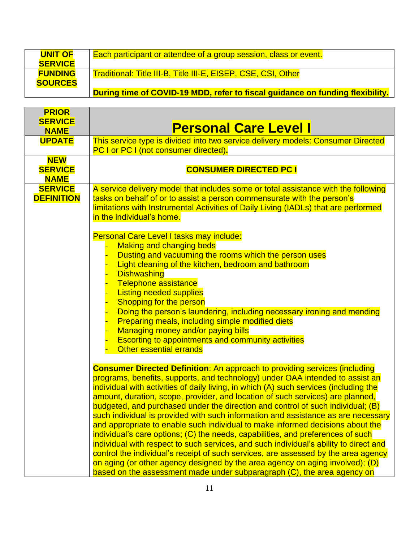| <b>UNIT OF</b> | Each participant or attendee of a group session, class or event.              |
|----------------|-------------------------------------------------------------------------------|
| <b>SERVICE</b> |                                                                               |
| <b>FUNDING</b> | <b>Traditional: Title III-B, Title III-E, EISEP, CSE, CSI, Other</b>          |
| <b>SOURCES</b> |                                                                               |
|                | During time of COVID-19 MDD, refer to fiscal guidance on funding flexibility. |

| <b>PRIOR</b><br><b>SERVICE</b>              |                                                                                                                                                                                                                                                                                                                                                                                                                                                                                                                                                                                                                                                                                                                                                                                                                                                                                                                                                                                                                                       |
|---------------------------------------------|---------------------------------------------------------------------------------------------------------------------------------------------------------------------------------------------------------------------------------------------------------------------------------------------------------------------------------------------------------------------------------------------------------------------------------------------------------------------------------------------------------------------------------------------------------------------------------------------------------------------------------------------------------------------------------------------------------------------------------------------------------------------------------------------------------------------------------------------------------------------------------------------------------------------------------------------------------------------------------------------------------------------------------------|
| <b>NAME</b>                                 | <b>Personal Care Level I</b>                                                                                                                                                                                                                                                                                                                                                                                                                                                                                                                                                                                                                                                                                                                                                                                                                                                                                                                                                                                                          |
| <b>UPDATE</b>                               | This service type is divided into two service delivery models: Consumer Directed<br><b>PC I or PC I (not consumer directed).</b>                                                                                                                                                                                                                                                                                                                                                                                                                                                                                                                                                                                                                                                                                                                                                                                                                                                                                                      |
| <b>NEW</b><br><b>SERVICE</b><br><b>NAME</b> | <b>CONSUMER DIRECTED PC I</b>                                                                                                                                                                                                                                                                                                                                                                                                                                                                                                                                                                                                                                                                                                                                                                                                                                                                                                                                                                                                         |
| <b>SERVICE</b><br><b>DEFINITION</b>         | A service delivery model that includes some or total assistance with the following<br>tasks on behalf of or to assist a person commensurate with the person's<br>limitations with Instrumental Activities of Daily Living (IADLs) that are performed<br>in the individual's home.<br>Personal Care Level I tasks may include:                                                                                                                                                                                                                                                                                                                                                                                                                                                                                                                                                                                                                                                                                                         |
|                                             | <b>Making and changing beds</b><br>Dusting and vacuuming the rooms which the person uses<br>Light cleaning of the kitchen, bedroom and bathroom<br><b>Dishwashing</b><br>Telephone assistance<br><b>Listing needed supplies</b><br>Shopping for the person<br>Doing the person's laundering, including necessary ironing and mending<br>Preparing meals, including simple modified diets<br>Managing money and/or paying bills<br><b>Escorting to appointments and community activities</b><br><b>Other essential errands</b>                                                                                                                                                                                                                                                                                                                                                                                                                                                                                                         |
|                                             | <b>Consumer Directed Definition:</b> An approach to providing services (including<br>programs, benefits, supports, and technology) under OAA intended to assist an<br>individual with activities of daily living, in which (A) such services (including the<br>amount, duration, scope, provider, and location of such services) are planned,<br>budgeted, and purchased under the direction and control of such individual; (B)<br>such individual is provided with such information and assistance as are necessary<br>and appropriate to enable such individual to make informed decisions about the<br>individual's care options; (C) the needs, capabilities, and preferences of such<br>individual with respect to such services, and such individual's ability to direct and<br>control the individual's receipt of such services, are assessed by the area agency<br>on aging (or other agency designed by the area agency on aging involved); (D)<br>based on the assessment made under subparagraph (C), the area agency on |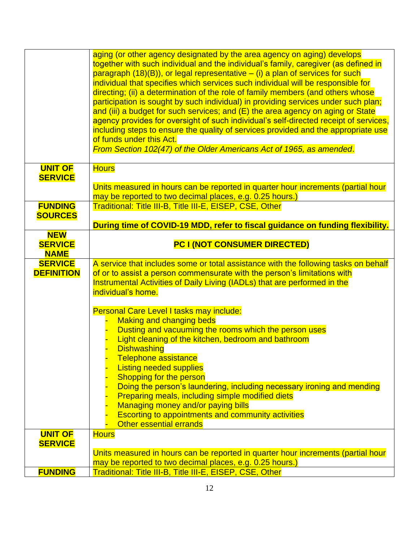|                                             | aging (or other agency designated by the area agency on aging) develops<br>together with such individual and the individual's family, caregiver (as defined in<br>paragraph $(18)(B)$ , or legal representative $-$ (i) a plan of services for such<br>individual that specifies which services such individual will be responsible for<br>directing; (ii) a determination of the role of family members (and others whose<br>participation is sought by such individual) in providing services under such plan;<br>and (iii) a budget for such services; and (E) the area agency on aging or State<br>agency provides for oversight of such individual's self-directed receipt of services,<br>including steps to ensure the quality of services provided and the appropriate use<br>of funds under this Act.<br>From Section 102(47) of the Older Americans Act of 1965, as amended. |
|---------------------------------------------|----------------------------------------------------------------------------------------------------------------------------------------------------------------------------------------------------------------------------------------------------------------------------------------------------------------------------------------------------------------------------------------------------------------------------------------------------------------------------------------------------------------------------------------------------------------------------------------------------------------------------------------------------------------------------------------------------------------------------------------------------------------------------------------------------------------------------------------------------------------------------------------|
| <b>UNIT OF</b><br><b>SERVICE</b>            | <b>Hours</b><br>Units measured in hours can be reported in quarter hour increments (partial hour<br>may be reported to two decimal places, e.g. 0.25 hours.)                                                                                                                                                                                                                                                                                                                                                                                                                                                                                                                                                                                                                                                                                                                           |
| <b>FUNDING</b>                              | Traditional: Title III-B, Title III-E, EISEP, CSE, Other                                                                                                                                                                                                                                                                                                                                                                                                                                                                                                                                                                                                                                                                                                                                                                                                                               |
| <b>SOURCES</b>                              |                                                                                                                                                                                                                                                                                                                                                                                                                                                                                                                                                                                                                                                                                                                                                                                                                                                                                        |
|                                             | During time of COVID-19 MDD, refer to fiscal guidance on funding flexibility.                                                                                                                                                                                                                                                                                                                                                                                                                                                                                                                                                                                                                                                                                                                                                                                                          |
| <b>NEW</b><br><b>SERVICE</b><br><b>NAME</b> | <b>PC I (NOT CONSUMER DIRECTED)</b>                                                                                                                                                                                                                                                                                                                                                                                                                                                                                                                                                                                                                                                                                                                                                                                                                                                    |
| <b>SERVICE</b><br><b>DEFINITION</b>         | A service that includes some or total assistance with the following tasks on behalf<br>of or to assist a person commensurate with the person's limitations with<br>Instrumental Activities of Daily Living (IADLs) that are performed in the<br>individual's home.                                                                                                                                                                                                                                                                                                                                                                                                                                                                                                                                                                                                                     |
|                                             | Personal Care Level I tasks may include:<br><b>Making and changing beds</b><br>Dusting and vacuuming the rooms which the person uses<br>Light cleaning of the kitchen, bedroom and bathroom<br><b>Dishwashing</b><br>Telephone assistance<br><b>Listing needed supplies</b><br>Shopping for the person<br>Doing the person's laundering, including necessary ironing and mending<br>Preparing meals, including simple modified diets                                                                                                                                                                                                                                                                                                                                                                                                                                                   |
|                                             | Managing money and/or paying bills<br><b>Escorting to appointments and community activities</b><br>Other essential errands                                                                                                                                                                                                                                                                                                                                                                                                                                                                                                                                                                                                                                                                                                                                                             |
| <b>UNIT OF</b><br><b>SERVICE</b>            | <b>Hours</b><br>Units measured in hours can be reported in quarter hour increments (partial hour<br>may be reported to two decimal places, e.g. 0.25 hours.)                                                                                                                                                                                                                                                                                                                                                                                                                                                                                                                                                                                                                                                                                                                           |
| <b>FUNDING</b>                              | Traditional: Title III-B, Title III-E, EISEP, CSE, Other                                                                                                                                                                                                                                                                                                                                                                                                                                                                                                                                                                                                                                                                                                                                                                                                                               |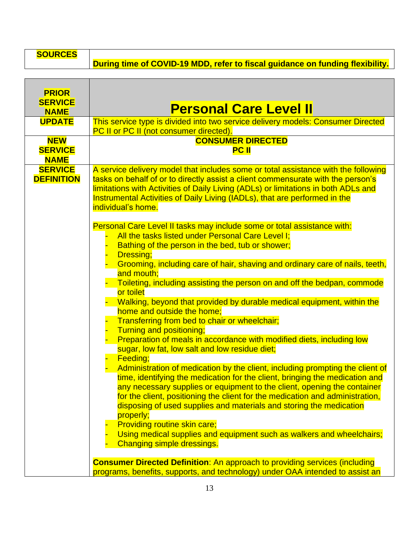**SOURCES**

**During time of COVID-19 MDD, refer to fiscal guidance on funding flexibility.**

| <b>PRIOR</b>                                |                                                                                                                                                                                                                                                                                                                                                                                                                                                                                                                                                                                                                                                                                                                                                                                                                                                                                                                                                                                                                                                                                                                                                                                                                                                                                                                                                                       |
|---------------------------------------------|-----------------------------------------------------------------------------------------------------------------------------------------------------------------------------------------------------------------------------------------------------------------------------------------------------------------------------------------------------------------------------------------------------------------------------------------------------------------------------------------------------------------------------------------------------------------------------------------------------------------------------------------------------------------------------------------------------------------------------------------------------------------------------------------------------------------------------------------------------------------------------------------------------------------------------------------------------------------------------------------------------------------------------------------------------------------------------------------------------------------------------------------------------------------------------------------------------------------------------------------------------------------------------------------------------------------------------------------------------------------------|
| <b>SERVICE</b><br><b>NAME</b>               | <b>Personal Care Level II</b>                                                                                                                                                                                                                                                                                                                                                                                                                                                                                                                                                                                                                                                                                                                                                                                                                                                                                                                                                                                                                                                                                                                                                                                                                                                                                                                                         |
| <b>UPDATE</b>                               | This service type is divided into two service delivery models: Consumer Directed<br>PC II or PC II (not consumer directed).                                                                                                                                                                                                                                                                                                                                                                                                                                                                                                                                                                                                                                                                                                                                                                                                                                                                                                                                                                                                                                                                                                                                                                                                                                           |
| <b>NEW</b><br><b>SERVICE</b><br><b>NAME</b> | <b>CONSUMER DIRECTED</b><br><b>PC II</b>                                                                                                                                                                                                                                                                                                                                                                                                                                                                                                                                                                                                                                                                                                                                                                                                                                                                                                                                                                                                                                                                                                                                                                                                                                                                                                                              |
| <b>SERVICE</b><br><b>DEFINITION</b>         | A service delivery model that includes some or total assistance with the following<br>tasks on behalf of or to directly assist a client commensurate with the person's<br>limitations with Activities of Daily Living (ADLs) or limitations in both ADLs and<br>Instrumental Activities of Daily Living (IADLs), that are performed in the<br>individual's home.                                                                                                                                                                                                                                                                                                                                                                                                                                                                                                                                                                                                                                                                                                                                                                                                                                                                                                                                                                                                      |
|                                             | Personal Care Level II tasks may include some or total assistance with:<br>All the tasks listed under Personal Care Level I;<br>Bathing of the person in the bed, tub or shower;<br>Dressing;<br>Grooming, including care of hair, shaving and ordinary care of nails, teeth,<br>and mouth;<br>Toileting, including assisting the person on and off the bedpan, commode<br>or toilet<br>Walking, beyond that provided by durable medical equipment, within the<br>home and outside the home;<br>Transferring from bed to chair or wheelchair;<br>Turning and positioning;<br>Preparation of meals in accordance with modified diets, including low<br>sugar, low fat, low salt and low residue diet;<br>Feeding;<br>Administration of medication by the client, including prompting the client of<br>time, identifying the medication for the client, bringing the medication and<br>any necessary supplies or equipment to the client, opening the container<br>for the client, positioning the client for the medication and administration,<br>disposing of used supplies and materials and storing the medication<br>properly;<br><b>Providing routine skin care;</b><br>Using medical supplies and equipment such as walkers and wheelchairs;<br>Changing simple dressings.<br><b>Consumer Directed Definition:</b> An approach to providing services (including |
|                                             | programs, benefits, supports, and technology) under OAA intended to assist an                                                                                                                                                                                                                                                                                                                                                                                                                                                                                                                                                                                                                                                                                                                                                                                                                                                                                                                                                                                                                                                                                                                                                                                                                                                                                         |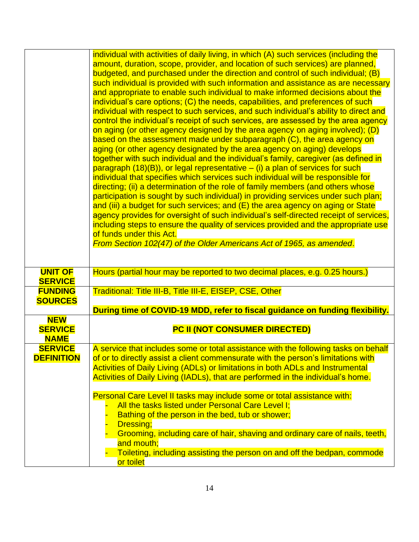|                               | individual with activities of daily living, in which (A) such services (including the                                                                                    |
|-------------------------------|--------------------------------------------------------------------------------------------------------------------------------------------------------------------------|
|                               | amount, duration, scope, provider, and location of such services) are planned,                                                                                           |
|                               | budgeted, and purchased under the direction and control of such individual; (B)                                                                                          |
|                               | such individual is provided with such information and assistance as are necessary                                                                                        |
|                               | and appropriate to enable such individual to make informed decisions about the                                                                                           |
|                               | individual's care options; (C) the needs, capabilities, and preferences of such                                                                                          |
|                               | individual with respect to such services, and such individual's ability to direct and                                                                                    |
|                               | control the individual's receipt of such services, are assessed by the area agency                                                                                       |
|                               | on aging (or other agency designed by the area agency on aging involved); (D)                                                                                            |
|                               | based on the assessment made under subparagraph (C), the area agency on                                                                                                  |
|                               | aging (or other agency designated by the area agency on aging) develops                                                                                                  |
|                               | together with such individual and the individual's family, caregiver (as defined in                                                                                      |
|                               | paragraph $(18)(B)$ , or legal representative $-$ (i) a plan of services for such                                                                                        |
|                               | individual that specifies which services such individual will be responsible for                                                                                         |
|                               | directing; (ii) a determination of the role of family members (and others whose                                                                                          |
|                               | participation is sought by such individual) in providing services under such plan;                                                                                       |
|                               | and (iii) a budget for such services; and (E) the area agency on aging or State                                                                                          |
|                               | agency provides for oversight of such individual's self-directed receipt of services,                                                                                    |
|                               | including steps to ensure the quality of services provided and the appropriate use                                                                                       |
|                               | of funds under this Act.                                                                                                                                                 |
|                               | From Section 102(47) of the Older Americans Act of 1965, as amended.                                                                                                     |
|                               |                                                                                                                                                                          |
| <b>UNIT OF</b>                | Hours (partial hour may be reported to two decimal places, e.g. 0.25 hours.)                                                                                             |
| <b>SERVICE</b>                |                                                                                                                                                                          |
| <b>FUNDING</b>                | Traditional: Title III-B, Title III-E, EISEP, CSE, Other                                                                                                                 |
| <b>SOURCES</b>                |                                                                                                                                                                          |
|                               | During time of COVID-19 MDD, refer to fiscal guidance on funding flexibility.                                                                                            |
| <b>NEW</b>                    |                                                                                                                                                                          |
| <b>SERVICE</b>                | PC II (NOT CONSUMER DIRECTED)                                                                                                                                            |
| <b>NAME</b><br><b>SERVICE</b> |                                                                                                                                                                          |
| <b>DEFINITION</b>             | A service that includes some or total assistance with the following tasks on behalf<br>of or to directly assist a client commensurate with the person's limitations with |
|                               | <b>Activities of Daily Living (ADLs) or limitations in both ADLs and Instrumental</b>                                                                                    |
|                               | Activities of Daily Living (IADLs), that are performed in the individual's home.                                                                                         |
|                               |                                                                                                                                                                          |
|                               | Personal Care Level II tasks may include some or total assistance with:                                                                                                  |
|                               | All the tasks listed under Personal Care Level I;                                                                                                                        |
|                               | Bathing of the person in the bed, tub or shower;                                                                                                                         |
|                               | <b>Dressing:</b>                                                                                                                                                         |
|                               | Grooming, including care of hair, shaving and ordinary care of nails, teeth,                                                                                             |
|                               | and mouth;                                                                                                                                                               |
|                               | Toileting, including assisting the person on and off the bedpan, commode                                                                                                 |
|                               | or toilet                                                                                                                                                                |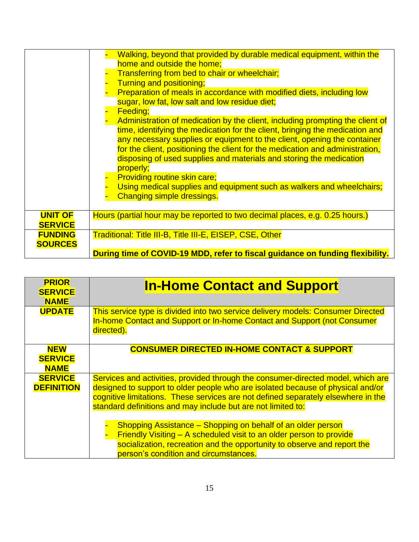|                                  | Walking, beyond that provided by durable medical equipment, within the<br>home and outside the home;<br>Transferring from bed to chair or wheelchair;<br>Turning and positioning;<br>Preparation of meals in accordance with modified diets, including low<br>sugar, low fat, low salt and low residue diet;<br>Feeding;<br>Administration of medication by the client, including prompting the client of<br>time, identifying the medication for the client, bringing the medication and<br>any necessary supplies or equipment to the client, opening the container<br>for the client, positioning the client for the medication and administration,<br>disposing of used supplies and materials and storing the medication<br>properly;<br><b>Providing routine skin care;</b><br>Using medical supplies and equipment such as walkers and wheelchairs;<br><b>Changing simple dressings.</b> |
|----------------------------------|-------------------------------------------------------------------------------------------------------------------------------------------------------------------------------------------------------------------------------------------------------------------------------------------------------------------------------------------------------------------------------------------------------------------------------------------------------------------------------------------------------------------------------------------------------------------------------------------------------------------------------------------------------------------------------------------------------------------------------------------------------------------------------------------------------------------------------------------------------------------------------------------------|
| <b>UNIT OF</b><br><b>SERVICE</b> | Hours (partial hour may be reported to two decimal places, e.g. 0.25 hours.)                                                                                                                                                                                                                                                                                                                                                                                                                                                                                                                                                                                                                                                                                                                                                                                                                    |
| <b>FUNDING</b><br><b>SOURCES</b> | <b>Traditional: Title III-B, Title III-E, EISEP, CSE, Other</b>                                                                                                                                                                                                                                                                                                                                                                                                                                                                                                                                                                                                                                                                                                                                                                                                                                 |
|                                  | During time of COVID-19 MDD, refer to fiscal guidance on funding flexibility.                                                                                                                                                                                                                                                                                                                                                                                                                                                                                                                                                                                                                                                                                                                                                                                                                   |

| <b>PRIOR</b><br><b>SERVICE</b><br><b>NAME</b> | <b>In-Home Contact and Support</b>                                                                                                                                                                                                                                                                                       |
|-----------------------------------------------|--------------------------------------------------------------------------------------------------------------------------------------------------------------------------------------------------------------------------------------------------------------------------------------------------------------------------|
| <b>UPDATE</b>                                 | This service type is divided into two service delivery models: Consumer Directed<br>In-home Contact and Support or In-home Contact and Support (not Consumer<br>directed).                                                                                                                                               |
| <b>NEW</b><br><b>SERVICE</b><br><b>NAME</b>   | <b>CONSUMER DIRECTED IN-HOME CONTACT &amp; SUPPORT</b>                                                                                                                                                                                                                                                                   |
| <b>SERVICE</b><br><b>DEFINITION</b>           | Services and activities, provided through the consumer-directed model, which are<br>designed to support to older people who are isolated because of physical and/or<br>cognitive limitations. These services are not defined separately elsewhere in the<br>standard definitions and may include but are not limited to: |
|                                               | Shopping Assistance – Shopping on behalf of an older person<br>Friendly Visiting - A scheduled visit to an older person to provide<br>socialization, recreation and the opportunity to observe and report the<br>person's condition and circumstances.                                                                   |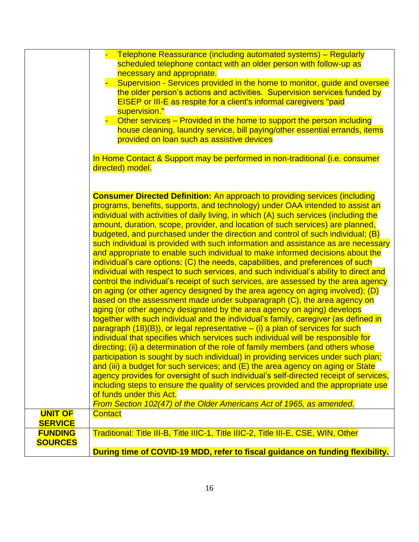|                | Telephone Reassurance (including automated systems) – Regularly                       |
|----------------|---------------------------------------------------------------------------------------|
|                |                                                                                       |
|                | scheduled telephone contact with an older person with follow-up as                    |
|                | necessary and appropriate.                                                            |
|                | Supervision - Services provided in the home to monitor, guide and oversee             |
|                | the older person's actions and activities. Supervision services funded by             |
|                | <b>EISEP or III-E as respite for a client's informal caregivers "paid</b>             |
|                | supervision."                                                                         |
|                | Other services - Provided in the home to support the person including                 |
|                |                                                                                       |
|                | house cleaning, laundry service, bill paying/other essential errands, items           |
|                | provided on loan such as assistive devices                                            |
|                | In Home Contact & Support may be performed in non-traditional (i.e. consumer          |
|                | directed) model.                                                                      |
|                |                                                                                       |
|                |                                                                                       |
|                |                                                                                       |
|                | <b>Consumer Directed Definition:</b> An approach to providing services (including     |
|                | programs, benefits, supports, and technology) under OAA intended to assist an         |
|                | individual with activities of daily living, in which (A) such services (including the |
|                | amount, duration, scope, provider, and location of such services) are planned,        |
|                | budgeted, and purchased under the direction and control of such individual; (B)       |
|                | such individual is provided with such information and assistance as are necessary     |
|                | and appropriate to enable such individual to make informed decisions about the        |
|                | individual's care options; (C) the needs, capabilities, and preferences of such       |
|                | individual with respect to such services, and such individual's ability to direct and |
|                |                                                                                       |
|                | control the individual's receipt of such services, are assessed by the area agency    |
|                | on aging (or other agency designed by the area agency on aging involved); (D)         |
|                | based on the assessment made under subparagraph (C), the area agency on               |
|                | aging (or other agency designated by the area agency on aging) develops               |
|                | together with such individual and the individual's family, caregiver (as defined in   |
|                | paragraph $(18)(B)$ , or legal representative $-$ (i) a plan of services for such     |
|                | individual that specifies which services such individual will be responsible for      |
|                |                                                                                       |
|                | directing; (ii) a determination of the role of family members (and others whose       |
|                | participation is sought by such individual) in providing services under such plan;    |
|                | and (iii) a budget for such services; and (E) the area agency on aging or State       |
|                | agency provides for oversight of such individual's self-directed receipt of services, |
|                | including steps to ensure the quality of services provided and the appropriate use    |
|                | of funds under this Act.                                                              |
|                | From Section 102(47) of the Older Americans Act of 1965, as amended.                  |
| <b>UNIT OF</b> | <b>Contact</b>                                                                        |
| <b>SERVICE</b> |                                                                                       |
| <b>FUNDING</b> | Traditional: Title III-B, Title IIIC-1, Title IIIC-2, Title III-E, CSE, WIN, Other    |
| <b>SOURCES</b> |                                                                                       |
|                |                                                                                       |
|                | During time of COVID-19 MDD, refer to fiscal guidance on funding flexibility.         |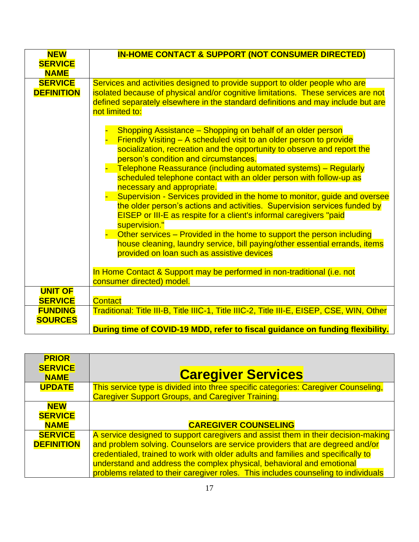| <b>NEW</b><br><b>SERVICE</b><br><b>NAME</b> | <b>IN-HOME CONTACT &amp; SUPPORT (NOT CONSUMER DIRECTED)</b>                                                                                                                                                                                                                                                                                                                                                                                                                                               |
|---------------------------------------------|------------------------------------------------------------------------------------------------------------------------------------------------------------------------------------------------------------------------------------------------------------------------------------------------------------------------------------------------------------------------------------------------------------------------------------------------------------------------------------------------------------|
| <b>SERVICE</b><br><b>DEFINITION</b>         | Services and activities designed to provide support to older people who are<br>isolated because of physical and/or cognitive limitations. These services are not<br>defined separately elsewhere in the standard definitions and may include but are<br>not limited to:                                                                                                                                                                                                                                    |
|                                             | Shopping Assistance – Shopping on behalf of an older person<br>Friendly Visiting - A scheduled visit to an older person to provide<br>socialization, recreation and the opportunity to observe and report the<br>person's condition and circumstances.<br>Telephone Reassurance (including automated systems) - Regularly<br>scheduled telephone contact with an older person with follow-up as<br>necessary and appropriate.<br>Supervision - Services provided in the home to monitor, guide and oversee |
|                                             | the older person's actions and activities. Supervision services funded by<br>EISEP or III-E as respite for a client's informal caregivers "paid<br>supervision."<br>Other services – Provided in the home to support the person including<br>house cleaning, laundry service, bill paying/other essential errands, items<br>provided on loan such as assistive devices                                                                                                                                     |
|                                             | In Home Contact & Support may be performed in non-traditional (i.e. not<br>consumer directed) model.                                                                                                                                                                                                                                                                                                                                                                                                       |
| <b>UNIT OF</b><br><b>SERVICE</b>            | <b>Contact</b>                                                                                                                                                                                                                                                                                                                                                                                                                                                                                             |
| <b>FUNDING</b><br><b>SOURCES</b>            | Traditional: Title III-B, Title IIIC-1, Title IIIC-2, Title III-E, EISEP, CSE, WIN, Other<br>During time of COVID-19 MDD, refer to fiscal guidance on funding flexibility.                                                                                                                                                                                                                                                                                                                                 |

| <b>PRIOR</b>                                |                                                                                                                                                                                                                                                                                                                                                                                                                       |
|---------------------------------------------|-----------------------------------------------------------------------------------------------------------------------------------------------------------------------------------------------------------------------------------------------------------------------------------------------------------------------------------------------------------------------------------------------------------------------|
| <b>SERVICE</b><br><b>NAME</b>               | <b>Caregiver Services</b>                                                                                                                                                                                                                                                                                                                                                                                             |
| <b>UPDATE</b>                               | This service type is divided into three specific categories: Caregiver Counseling,<br><b>Caregiver Support Groups, and Caregiver Training.</b>                                                                                                                                                                                                                                                                        |
| <b>NEW</b><br><b>SERVICE</b><br><b>NAME</b> | <b>CAREGIVER COUNSELING</b>                                                                                                                                                                                                                                                                                                                                                                                           |
| <b>SERVICE</b><br><b>DEFINITION</b>         | A service designed to support caregivers and assist them in their decision-making<br>and problem solving. Counselors are service providers that are degreed and/or<br>credentialed, trained to work with older adults and families and specifically to<br>understand and address the complex physical, behavioral and emotional<br>problems related to their caregiver roles. This includes counseling to individuals |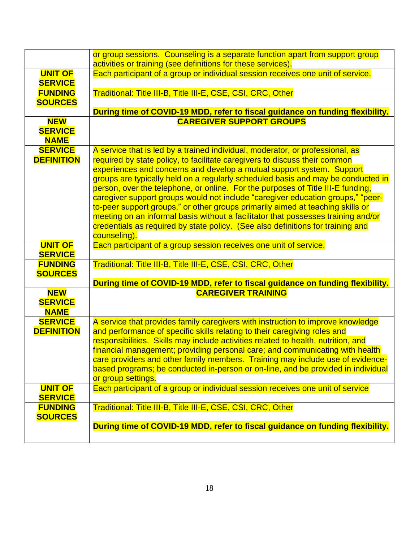|                                             | or group sessions. Counseling is a separate function apart from support group<br>activities or training (see definitions for these services).                                                                                                                                                                                                                                                                                                                                                                                                                                                                                                                                                                                                                            |
|---------------------------------------------|--------------------------------------------------------------------------------------------------------------------------------------------------------------------------------------------------------------------------------------------------------------------------------------------------------------------------------------------------------------------------------------------------------------------------------------------------------------------------------------------------------------------------------------------------------------------------------------------------------------------------------------------------------------------------------------------------------------------------------------------------------------------------|
| <b>UNIT OF</b>                              | Each participant of a group or individual session receives one unit of service.                                                                                                                                                                                                                                                                                                                                                                                                                                                                                                                                                                                                                                                                                          |
| <b>SERVICE</b>                              |                                                                                                                                                                                                                                                                                                                                                                                                                                                                                                                                                                                                                                                                                                                                                                          |
| <b>FUNDING</b>                              | Traditional: Title III-B, Title III-E, CSE, CSI, CRC, Other                                                                                                                                                                                                                                                                                                                                                                                                                                                                                                                                                                                                                                                                                                              |
| <b>SOURCES</b>                              |                                                                                                                                                                                                                                                                                                                                                                                                                                                                                                                                                                                                                                                                                                                                                                          |
|                                             | During time of COVID-19 MDD, refer to fiscal guidance on funding flexibility.                                                                                                                                                                                                                                                                                                                                                                                                                                                                                                                                                                                                                                                                                            |
| <b>NEW</b><br><b>SERVICE</b><br><b>NAME</b> | <b>CAREGIVER SUPPORT GROUPS</b>                                                                                                                                                                                                                                                                                                                                                                                                                                                                                                                                                                                                                                                                                                                                          |
| <b>SERVICE</b><br><b>DEFINITION</b>         | A service that is led by a trained individual, moderator, or professional, as<br>required by state policy, to facilitate caregivers to discuss their common<br>experiences and concerns and develop a mutual support system. Support<br>groups are typically held on a regularly scheduled basis and may be conducted in<br>person, over the telephone, or online. For the purposes of Title III-E funding,<br>caregiver support groups would not include "caregiver education groups," "peer-<br>to-peer support groups," or other groups primarily aimed at teaching skills or<br>meeting on an informal basis without a facilitator that possesses training and/or<br>credentials as required by state policy. (See also definitions for training and<br>counseling). |
| <b>UNIT OF</b><br><b>SERVICE</b>            | Each participant of a group session receives one unit of service.                                                                                                                                                                                                                                                                                                                                                                                                                                                                                                                                                                                                                                                                                                        |
| <b>FUNDING</b>                              | Traditional: Title III-B, Title III-E, CSE, CSI, CRC, Other                                                                                                                                                                                                                                                                                                                                                                                                                                                                                                                                                                                                                                                                                                              |
| <b>SOURCES</b>                              |                                                                                                                                                                                                                                                                                                                                                                                                                                                                                                                                                                                                                                                                                                                                                                          |
|                                             | During time of COVID-19 MDD, refer to fiscal guidance on funding flexibility.                                                                                                                                                                                                                                                                                                                                                                                                                                                                                                                                                                                                                                                                                            |
| <b>NEW</b><br><b>SERVICE</b><br><b>NAME</b> | <b>CAREGIVER TRAINING</b>                                                                                                                                                                                                                                                                                                                                                                                                                                                                                                                                                                                                                                                                                                                                                |
| <b>SERVICE</b><br><b>DEFINITION</b>         | A service that provides family caregivers with instruction to improve knowledge<br>and performance of specific skills relating to their caregiving roles and<br>responsibilities. Skills may include activities related to health, nutrition, and<br>financial management; providing personal care; and communicating with health<br>care providers and other family members. Training may include use of evidence-<br>based programs; be conducted in-person or on-line, and be provided in individual<br>or group settings.                                                                                                                                                                                                                                            |
| <b>UNIT OF</b><br><b>SERVICE</b>            | Each participant of a group or individual session receives one unit of service                                                                                                                                                                                                                                                                                                                                                                                                                                                                                                                                                                                                                                                                                           |
| <b>FUNDING</b>                              | Traditional: Title III-B, Title III-E, CSE, CSI, CRC, Other                                                                                                                                                                                                                                                                                                                                                                                                                                                                                                                                                                                                                                                                                                              |
| <b>SOURCES</b>                              |                                                                                                                                                                                                                                                                                                                                                                                                                                                                                                                                                                                                                                                                                                                                                                          |
|                                             | During time of COVID-19 MDD, refer to fiscal guidance on funding flexibility.                                                                                                                                                                                                                                                                                                                                                                                                                                                                                                                                                                                                                                                                                            |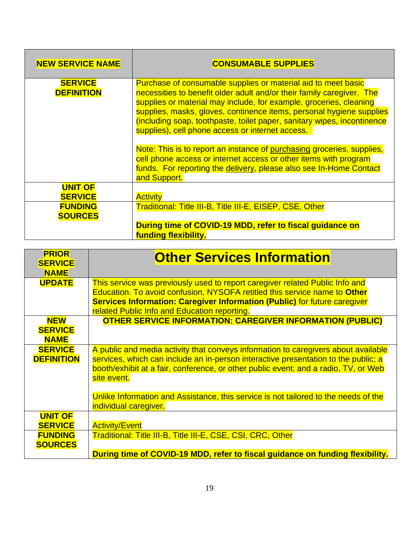| <b>NEW SERVICE NAME</b>             | <b>CONSUMABLE SUPPLIES</b>                                                                                                                                                                                                                                                                                                                                                                                          |
|-------------------------------------|---------------------------------------------------------------------------------------------------------------------------------------------------------------------------------------------------------------------------------------------------------------------------------------------------------------------------------------------------------------------------------------------------------------------|
| <b>SERVICE</b><br><b>DEFINITION</b> | Purchase of consumable supplies or material aid to meet basic<br>necessities to benefit older adult and/or their family caregiver. The<br>supplies or material may include, for example, groceries, cleaning<br>supplies, masks, gloves, continence items, personal hygiene supplies<br>(including soap, toothpaste, toilet paper, sanitary wipes, incontinence<br>supplies), cell phone access or internet access. |
|                                     | Note: This is to report an instance of purchasing groceries, supplies,<br>cell phone access or internet access or other items with program<br>funds. For reporting the delivery, please also see In-Home Contact<br>and Support.                                                                                                                                                                                    |
| <b>UNIT OF</b><br><b>SERVICE</b>    | <b>Activity</b>                                                                                                                                                                                                                                                                                                                                                                                                     |
| <b>FUNDING</b><br><b>SOURCES</b>    | Traditional: Title III-B, Title III-E, EISEP, CSE, Other<br>During time of COVID-19 MDD, refer to fiscal guidance on<br>funding flexibility.                                                                                                                                                                                                                                                                        |

| <b>PRIOR</b><br><b>SERVICE</b><br><b>NAME</b> | <b>Other Services Information</b>                                                                                                                                                                                                                                                             |
|-----------------------------------------------|-----------------------------------------------------------------------------------------------------------------------------------------------------------------------------------------------------------------------------------------------------------------------------------------------|
| <b>UPDATE</b>                                 | This service was previously used to report caregiver related Public Info and<br>Education. To avoid confusion, NYSOFA retitled this service name to Other<br><b>Services Information: Caregiver Information (Public)</b> for future caregiver<br>related Public Info and Education reporting. |
| <b>NEW</b><br><b>SERVICE</b><br><b>NAME</b>   | <b>OTHER SERVICE INFORMATION: CAREGIVER INFORMATION (PUBLIC)</b>                                                                                                                                                                                                                              |
| <b>SERVICE</b><br><b>DEFINITION</b>           | A public and media activity that conveys information to caregivers about available<br>services, which can include an in-person interactive presentation to the public; a<br>booth/exhibit at a fair, conference, or other public event; and a radio, TV, or Web<br>site event.                |
|                                               | Unlike Information and Assistance, this service is not tailored to the needs of the<br>individual caregiver.                                                                                                                                                                                  |
| <b>UNIT OF</b><br><b>SERVICE</b>              | <b>Activity/Event</b>                                                                                                                                                                                                                                                                         |
| <b>FUNDING</b><br><b>SOURCES</b>              | Traditional: Title III-B, Title III-E, CSE, CSI, CRC, Other                                                                                                                                                                                                                                   |
|                                               | During time of COVID-19 MDD, refer to fiscal guidance on funding flexibility.                                                                                                                                                                                                                 |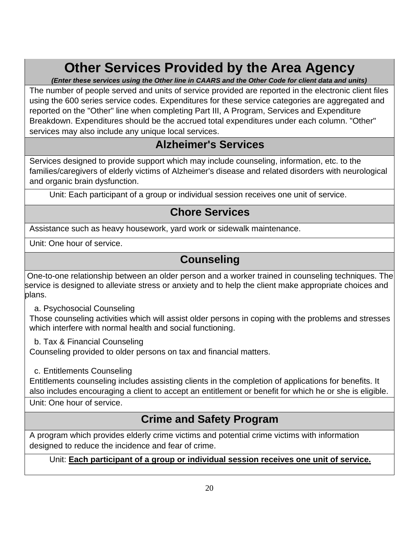## **Other Services Provided by the Area Agency**

*(Enter these services using the Other line in CAARS and the Other Code for client data and units)* 

The number of people served and units of service provided are reported in the electronic client files using the 600 series service codes. Expenditures for these service categories are aggregated and reported on the "Other" line when completing Part III, A Program, Services and Expenditure Breakdown. Expenditures should be the accrued total expenditures under each column. "Other" services may also include any unique local services.

## **Alzheimer's Services**

Services designed to provide support which may include counseling, information, etc. to the families/caregivers of elderly victims of Alzheimer's disease and related disorders with neurological and organic brain dysfunction.

Unit: Each participant of a group or individual session receives one unit of service.

## **Chore Services**

Assistance such as heavy housework, yard work or sidewalk maintenance.

Unit: One hour of service.

## **Counseling**

One-to-one relationship between an older person and a worker trained in counseling techniques. The service is designed to alleviate stress or anxiety and to help the client make appropriate choices and plans.

a. Psychosocial Counseling

Those counseling activities which will assist older persons in coping with the problems and stresses which interfere with normal health and social functioning.

b. Tax & Financial Counseling

Counseling provided to older persons on tax and financial matters.

c. Entitlements Counseling

Entitlements counseling includes assisting clients in the completion of applications for benefits. It also includes encouraging a client to accept an entitlement or benefit for which he or she is eligible. Unit: One hour of service.

## **Crime and Safety Program**

A program which provides elderly crime victims and potential crime victims with information designed to reduce the incidence and fear of crime.

#### Unit: **Each participant of a group or individual session receives one unit of service.**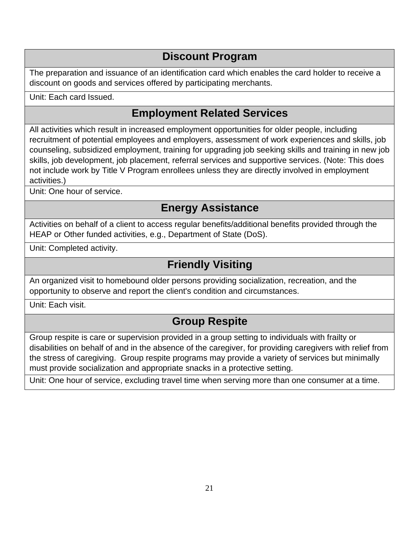## **Discount Program**

The preparation and issuance of an identification card which enables the card holder to receive a discount on goods and services offered by participating merchants.

Unit: Each card Issued.

## **Employment Related Services**

All activities which result in increased employment opportunities for older people, including recruitment of potential employees and employers, assessment of work experiences and skills, job counseling, subsidized employment, training for upgrading job seeking skills and training in new job skills, job development, job placement, referral services and supportive services. (Note: This does not include work by Title V Program enrollees unless they are directly involved in employment activities.)

Unit: One hour of service.

## **Energy Assistance**

Activities on behalf of a client to access regular benefits/additional benefits provided through the HEAP or Other funded activities, e.g., Department of State (DoS).

Unit: Completed activity.

## **Friendly Visiting**

An organized visit to homebound older persons providing socialization, recreation, and the opportunity to observe and report the client's condition and circumstances.

Unit: Each visit.

## **Group Respite**

Group respite is care or supervision provided in a group setting to individuals with frailty or disabilities on behalf of and in the absence of the caregiver, for providing caregivers with relief from the stress of caregiving. Group respite programs may provide a variety of services but minimally must provide socialization and appropriate snacks in a protective setting.

Unit: One hour of service, excluding travel time when serving more than one consumer at a time.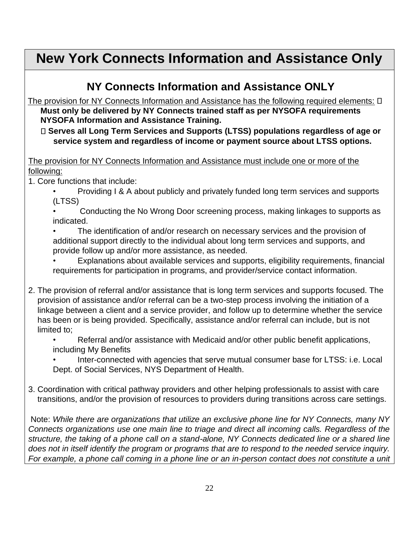## **New York Connects Information and Assistance Only**

## **NY Connects Information and Assistance ONLY**

The provision for NY Connects Information and Assistance has the following required elements:  $\Box$ **Must only be delivered by NY Connects trained staff as per NYSOFA requirements NYSOFA Information and Assistance Training.** 

**Serves all Long Term Services and Supports (LTSS) populations regardless of age or service system and regardless of income or payment source about LTSS options.** 

The provision for NY Connects Information and Assistance must include one or more of the following:

1. Core functions that include:

• Providing I & A about publicly and privately funded long term services and supports (LTSS)

• Conducting the No Wrong Door screening process, making linkages to supports as indicated.

• The identification of and/or research on necessary services and the provision of additional support directly to the individual about long term services and supports, and provide follow up and/or more assistance, as needed.

• Explanations about available services and supports, eligibility requirements, financial requirements for participation in programs, and provider/service contact information.

2. The provision of referral and/or assistance that is long term services and supports focused. The provision of assistance and/or referral can be a two-step process involving the initiation of a linkage between a client and a service provider, and follow up to determine whether the service has been or is being provided. Specifically, assistance and/or referral can include, but is not limited to;

• Referral and/or assistance with Medicaid and/or other public benefit applications, including My Benefits

Inter-connected with agencies that serve mutual consumer base for LTSS: i.e. Local Dept. of Social Services, NYS Department of Health.

3. Coordination with critical pathway providers and other helping professionals to assist with care transitions, and/or the provision of resources to providers during transitions across care settings.

Note: *While there are organizations that utilize an exclusive phone line for NY Connects, many NY Connects organizations use one main line to triage and direct all incoming calls. Regardless of the structure, the taking of a phone call on a stand-alone, NY Connects dedicated line or a shared line does not in itself identify the program or programs that are to respond to the needed service inquiry. For example, a phone call coming in a phone line or an in-person contact does not constitute a unit*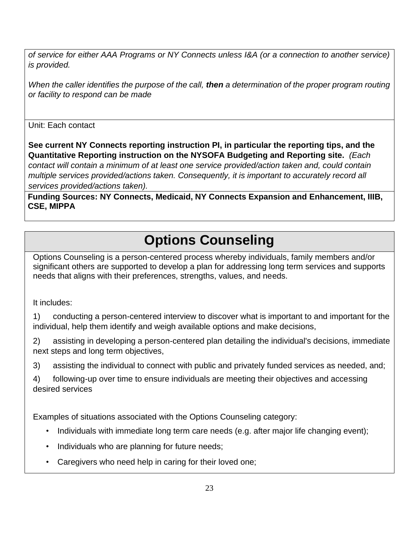*of service for either AAA Programs or NY Connects unless I&A (or a connection to another service) is provided.*

*When the caller identifies the purpose of the call, then a determination of the proper program routing or facility to respond can be made*

Unit: Each contact

**See current NY Connects reporting instruction PI, in particular the reporting tips, and the Quantitative Reporting instruction on the NYSOFA Budgeting and Reporting site.** *(Each contact will contain a minimum of at least one service provided/action taken and, could contain multiple services provided/actions taken. Consequently, it is important to accurately record all services provided/actions taken).*

**Funding Sources: NY Connects, Medicaid, NY Connects Expansion and Enhancement, IIIB, CSE, MIPPA**

## **Options Counseling**

Options Counseling is a person-centered process whereby individuals, family members and/or significant others are supported to develop a plan for addressing long term services and supports needs that aligns with their preferences, strengths, values, and needs.

It includes:

1) conducting a person-centered interview to discover what is important to and important for the individual, help them identify and weigh available options and make decisions,

2) assisting in developing a person-centered plan detailing the individual's decisions, immediate next steps and long term objectives,

3) assisting the individual to connect with public and privately funded services as needed, and;

4) following-up over time to ensure individuals are meeting their objectives and accessing desired services

Examples of situations associated with the Options Counseling category:

- Individuals with immediate long term care needs (e.g. after major life changing event);
- Individuals who are planning for future needs;
- Caregivers who need help in caring for their loved one;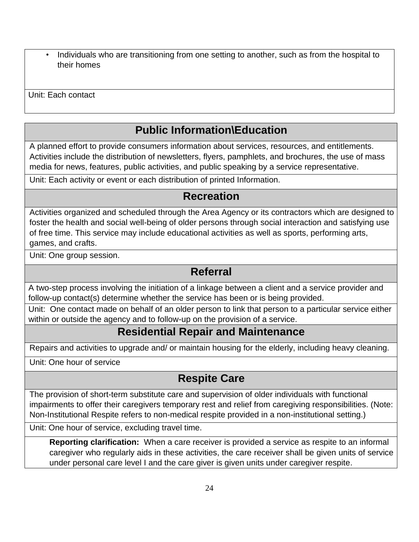• Individuals who are transitioning from one setting to another, such as from the hospital to their homes

Unit: Each contact

## **Public Information\Education**

A planned effort to provide consumers information about services, resources, and entitlements. Activities include the distribution of newsletters, flyers, pamphlets, and brochures, the use of mass media for news, features, public activities, and public speaking by a service representative.

Unit: Each activity or event or each distribution of printed Information.

### **Recreation**

Activities organized and scheduled through the Area Agency or its contractors which are designed to foster the health and social well-being of older persons through social interaction and satisfying use of free time. This service may include educational activities as well as sports, performing arts, games, and crafts.

Unit: One group session.

### **Referral**

A two-step process involving the initiation of a linkage between a client and a service provider and follow-up contact(s) determine whether the service has been or is being provided.

Unit: One contact made on behalf of an older person to link that person to a particular service either within or outside the agency and to follow-up on the provision of a service.

## **Residential Repair and Maintenance**

Repairs and activities to upgrade and/ or maintain housing for the elderly, including heavy cleaning.

Unit: One hour of service

## **Respite Care**

The provision of short-term substitute care and supervision of older individuals with functional impairments to offer their caregivers temporary rest and relief from caregiving responsibilities. (Note: Non-Institutional Respite refers to non-medical respite provided in a non-institutional setting.)

Unit: One hour of service, excluding travel time.

**Reporting clarification:** When a care receiver is provided a service as respite to an informal caregiver who regularly aids in these activities, the care receiver shall be given units of service under personal care level I and the care giver is given units under caregiver respite.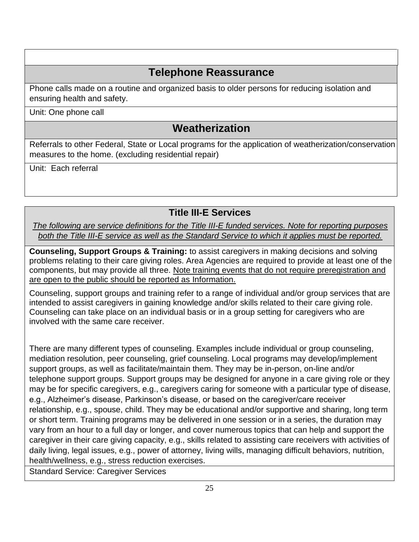## **Telephone Reassurance**

Phone calls made on a routine and organized basis to older persons for reducing isolation and ensuring health and safety.

Unit: One phone call

## **Weatherization**

Referrals to other Federal, State or Local programs for the application of weatherization/conservation measures to the home. (excluding residential repair)

Unit: Each referral

### **Title III-E Services**

*The following are service definitions for the Title III-E funded services. Note for reporting purposes both the Title III-E service as well as the Standard Service to which it applies must be reported.*

**Counseling, Support Groups & Training:** to assist caregivers in making decisions and solving problems relating to their care giving roles. Area Agencies are required to provide at least one of the components, but may provide all three. Note training events that do not require preregistration and are open to the public should be reported as Information.

Counseling, support groups and training refer to a range of individual and/or group services that are intended to assist caregivers in gaining knowledge and/or skills related to their care giving role. Counseling can take place on an individual basis or in a group setting for caregivers who are involved with the same care receiver.

There are many different types of counseling. Examples include individual or group counseling, mediation resolution, peer counseling, grief counseling. Local programs may develop/implement support groups, as well as facilitate/maintain them. They may be in-person, on-line and/or telephone support groups. Support groups may be designed for anyone in a care giving role or they may be for specific caregivers, e.g., caregivers caring for someone with a particular type of disease, e.g., Alzheimer's disease, Parkinson's disease, or based on the caregiver/care receiver relationship, e.g., spouse, child. They may be educational and/or supportive and sharing, long term or short term. Training programs may be delivered in one session or in a series, the duration may vary from an hour to a full day or longer, and cover numerous topics that can help and support the caregiver in their care giving capacity, e.g., skills related to assisting care receivers with activities of daily living, legal issues, e.g., power of attorney, living wills, managing difficult behaviors, nutrition, health/wellness, e.g., stress reduction exercises.

Standard Service: Caregiver Services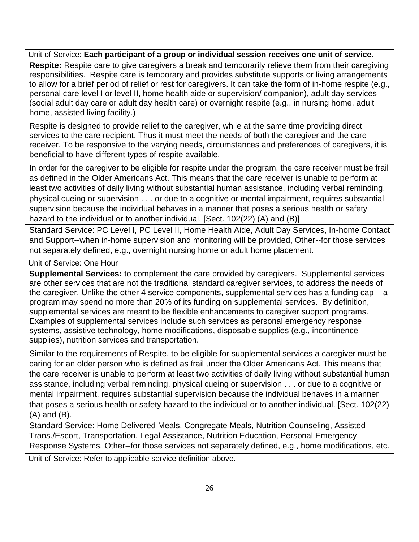#### Unit of Service: **Each participant of a group or individual session receives one unit of service.**

**Respite:** Respite care to give caregivers a break and temporarily relieve them from their caregiving responsibilities. Respite care is temporary and provides substitute supports or living arrangements to allow for a brief period of relief or rest for caregivers. It can take the form of in-home respite (e.g., personal care level I or level II, home health aide or supervision/ companion), adult day services (social adult day care or adult day health care) or overnight respite (e.g., in nursing home, adult home, assisted living facility.)

Respite is designed to provide relief to the caregiver, while at the same time providing direct services to the care recipient. Thus it must meet the needs of both the caregiver and the care receiver. To be responsive to the varying needs, circumstances and preferences of caregivers, it is beneficial to have different types of respite available.

In order for the caregiver to be eligible for respite under the program, the care receiver must be frail as defined in the Older Americans Act. This means that the care receiver is unable to perform at least two activities of daily living without substantial human assistance, including verbal reminding, physical cueing or supervision . . . or due to a cognitive or mental impairment, requires substantial supervision because the individual behaves in a manner that poses a serious health or safety hazard to the individual or to another individual. [Sect. 102(22) (A) and (B)]

Standard Service: PC Level I, PC Level II, Home Health Aide, Adult Day Services, In-home Contact and Support--when in-home supervision and monitoring will be provided, Other--for those services not separately defined, e.g., overnight nursing home or adult home placement.

Unit of Service: One Hour

**Supplemental Services:** to complement the care provided by caregivers. Supplemental services are other services that are not the traditional standard caregiver services, to address the needs of the caregiver. Unlike the other 4 service components, supplemental services has a funding cap  $-$  a program may spend no more than 20% of its funding on supplemental services. By definition, supplemental services are meant to be flexible enhancements to caregiver support programs. Examples of supplemental services include such services as personal emergency response systems, assistive technology, home modifications, disposable supplies (e.g., incontinence supplies), nutrition services and transportation.

Similar to the requirements of Respite, to be eligible for supplemental services a caregiver must be caring for an older person who is defined as frail under the Older Americans Act. This means that the care receiver is unable to perform at least two activities of daily living without substantial human assistance, including verbal reminding, physical cueing or supervision . . . or due to a cognitive or mental impairment, requires substantial supervision because the individual behaves in a manner that poses a serious health or safety hazard to the individual or to another individual. [Sect. 102(22) (A) and (B).

Standard Service: Home Delivered Meals, Congregate Meals, Nutrition Counseling, Assisted Trans./Escort, Transportation, Legal Assistance, Nutrition Education, Personal Emergency Response Systems, Other--for those services not separately defined, e.g., home modifications, etc.

Unit of Service: Refer to applicable service definition above.